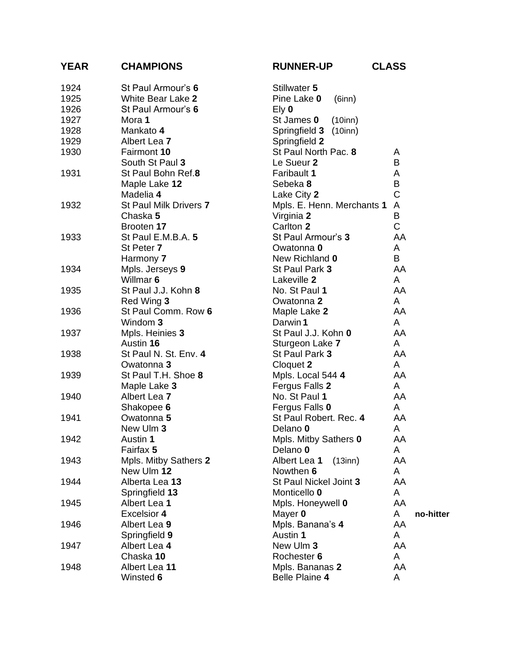| <b>YEAR</b> | <b>CHAMPIONS</b>       | <b>RUNNER-UP</b>              | <b>CLASS</b> |
|-------------|------------------------|-------------------------------|--------------|
| 1924        | St Paul Armour's 6     | Stillwater 5                  |              |
| 1925        | White Bear Lake 2      | Pine Lake 0<br>$(6$ inn $)$   |              |
| 1926        | St Paul Armour's 6     | $EY$ 0                        |              |
| 1927        | Mora 1                 | St James 0<br>$(10$ inn $)$   |              |
| 1928        | Mankato 4              | Springfield 3 (10inn)         |              |
| 1929        | Albert Lea 7           | Springfield 2                 |              |
| 1930        | Fairmont 10            | St Paul North Pac. 8          | A            |
|             | South St Paul 3        | Le Sueur 2                    | B            |
| 1931        | St Paul Bohn Ref.8     | Faribault 1                   | A            |
|             | Maple Lake 12          | Sebeka 8                      | B            |
|             | Madelia 4              | Lake City 2                   | $\mathsf C$  |
| 1932        | St Paul Milk Drivers 7 | Mpls. E. Henn. Merchants 1    | A            |
|             | Chaska 5               | Virginia 2                    | B            |
|             | Brooten 17             | Carlton 2                     | $\mathsf{C}$ |
| 1933        | St Paul E.M.B.A. 5     | St Paul Armour's 3            | AA           |
|             | St Peter 7             | Owatonna 0                    | A            |
|             | Harmony 7              | New Richland 0                | B            |
| 1934        | Mpls. Jerseys 9        | St Paul Park 3                | AA           |
|             | Willmar 6              | Lakeville 2                   | A            |
| 1935        | St Paul J.J. Kohn 8    | No. St Paul 1                 | AA           |
|             | Red Wing 3             | Owatonna 2                    | A            |
| 1936        | St Paul Comm. Row 6    | Maple Lake 2                  | AA           |
|             | Windom 3               | Darwin 1                      | A            |
| 1937        | Mpls. Heinies 3        | St Paul J.J. Kohn 0           | AA           |
|             | Austin 16              | Sturgeon Lake 7               | A            |
| 1938        | St Paul N. St. Env. 4  | St Paul Park 3                | AA           |
|             | Owatonna 3             | Cloquet 2                     | A            |
| 1939        | St Paul T.H. Shoe 8    | Mpls. Local 544 4             | AA           |
|             | Maple Lake 3           | Fergus Falls 2                | A            |
| 1940        | Albert Lea 7           | No. St Paul 1                 | AA           |
|             | Shakopee 6             | Fergus Falls 0                | A            |
| 1941        | Owatonna 5             | St Paul Robert. Rec. 4        | AA           |
|             | New Ulm 3              | Delano 0                      | A            |
| 1942        | Austin 1               | Mpls. Mitby Sathers 0         | AA           |
|             | Fairfax 5              | Delano 0                      | A            |
| 1943        | Mpls. Mitby Sathers 2  | Albert Lea 1<br>$(13$ inn $)$ | AA           |
|             | New Ulm 12             | Nowthen 6                     | A            |
| 1944        | Alberta Lea 13         | St Paul Nickel Joint 3        | AA           |
|             | Springfield 13         | Monticello 0                  | A            |
| 1945        | Albert Lea 1           | Mpls. Honeywell 0             | AA           |
|             | <b>Excelsior 4</b>     | Mayer 0                       | A            |
| 1946        | Albert Lea 9           | Mpls. Banana's 4              | AA           |
|             | Springfield 9          | Austin 1                      | A            |
| 1947        | Albert Lea 4           | New Ulm 3                     | AA           |
|             | Chaska 10              | Rochester 6                   | A            |
| 1948        | Albert Lea 11          | Mpls. Bananas 2               | AA           |
|             | Winsted 6              | Belle Plaine 4                | A            |

|  | . . |  |
|--|-----|--|

AA

AA

AA

AA

AA

A **no -hitter**

AA

AA

AA

AA

AA

AA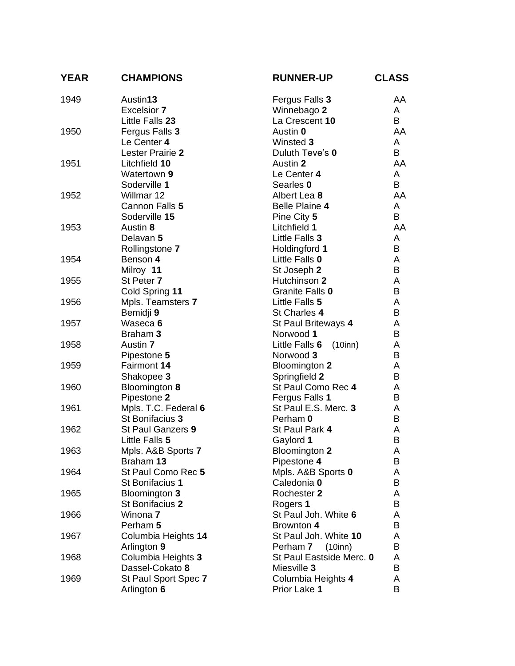| <b>YEAR</b> | <b>CHAMPIONS</b>     | <b>RUNNER-UP</b>                          | <b>CLASS</b> |
|-------------|----------------------|-------------------------------------------|--------------|
| 1949        | Austin13             | Fergus Falls 3                            | AA           |
|             | <b>Excelsior 7</b>   | Winnebago 2                               | A            |
|             | Little Falls 23      | La Crescent 10                            | B            |
| 1950        | Fergus Falls 3       | Austin 0                                  | AA           |
|             | Le Center 4          | Winsted 3                                 | A            |
|             | Lester Prairie 2     | Duluth Teve's 0                           | B            |
| 1951        | Litchfield 10        | Austin 2                                  | AA           |
|             | Watertown 9          | Le Center 4                               | A            |
|             | Soderville 1         | Searles 0                                 | B            |
| 1952        | Willmar 12           | Albert Lea 8                              | AA           |
|             | Cannon Falls 5       | <b>Belle Plaine 4</b>                     | A            |
|             | Soderville 15        | Pine City 5                               | B            |
| 1953        | Austin 8             | Litchfield 1                              | AA           |
|             | Delavan 5            | Little Falls 3                            | A            |
|             | Rollingstone 7       | Holdingford 1                             | B            |
| 1954        | Benson 4             | Little Falls 0                            | A            |
|             | Milroy 11            | St Joseph 2                               | B            |
| 1955        | St Peter 7           | Hutchinson 2                              | A            |
|             | Cold Spring 11       | Granite Falls 0                           | B            |
| 1956        | Mpls. Teamsters 7    | Little Falls 5                            | A            |
|             | Bemidji 9            | St Charles 4                              | B            |
| 1957        | Waseca 6             | St Paul Briteways 4                       | A            |
|             | Braham 3             | Norwood 1                                 | B            |
| 1958        | Austin 7             | $(10$ inn $)$<br>Little Falls 6           | A            |
|             | Pipestone 5          | Norwood 3                                 | B            |
| 1959        | Fairmont 14          | Bloomington 2                             | A            |
|             | Shakopee 3           | Springfield 2                             | B            |
| 1960        | Bloomington 8        | St Paul Como Rec 4                        | A            |
|             | Pipestone 2          | Fergus Falls 1                            | B            |
| 1961        | Mpls. T.C. Federal 6 | St Paul E.S. Merc. 3                      | A            |
|             | St Bonifacius 3      | Perham 0                                  | B            |
| 1962        | St Paul Ganzers 9    | St Paul Park 4                            | A            |
|             | Little Falls 5       | Gaylord 1                                 | B            |
| 1963        | Mpls. A&B Sports 7   | Bloomington 2                             | A            |
|             | Braham 13            | Pipestone 4                               | В            |
| 1964        | St Paul Como Rec 5   | Mpls. A&B Sports 0                        | A            |
|             | St Bonifacius 1      | Caledonia 0                               | B            |
| 1965        | Bloomington 3        | Rochester 2                               | A            |
|             | St Bonifacius 2      | Rogers 1                                  | B            |
| 1966        | Winona 7             | St Paul Joh. White 6                      | A            |
|             | Perham 5             | Brownton 4                                | B            |
|             | Columbia Heights 14  | St Paul Joh. White 10                     | A            |
| 1967        | Arlington 9          | Perham 7                                  | В            |
| 1968        | Columbia Heights 3   | $(10$ inn $)$<br>St Paul Eastside Merc. 0 | A            |
|             | Dassel-Cokato 8      | Miesville 3                               | B            |
| 1969        | St Paul Sport Spec 7 | Columbia Heights 4                        | A            |
|             | Arlington 6          | Prior Lake 1                              | B            |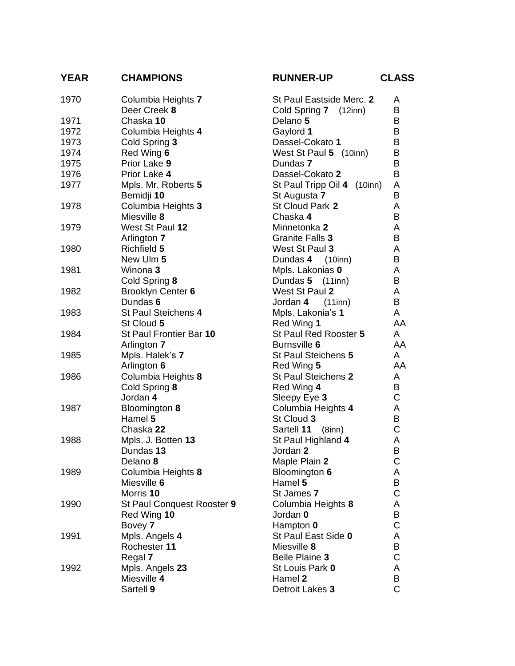## **YEAR CHAMPIONS RUNNER-UP CLASS**

|  | <b>UNNER-UP</b> |  |  |
|--|-----------------|--|--|
|--|-----------------|--|--|

| 1970 | Columbia Heights 7         | St Paul Eastside Merc. 2             | A              |
|------|----------------------------|--------------------------------------|----------------|
|      | Deer Creek 8               | Cold Spring 7 (12inn)                | B              |
| 1971 | Chaska 10                  | Delano 5                             | B              |
| 1972 | Columbia Heights 4         | Gaylord 1                            | B              |
| 1973 | Cold Spring 3              | Dassel-Cokato 1                      | B              |
| 1974 | Red Wing 6                 | West St Paul 5 (10inn)               | B              |
| 1975 | Prior Lake 9               | Dundas 7                             | B              |
| 1976 | Prior Lake 4               | Dassel-Cokato 2                      | B              |
| 1977 | Mpls. Mr. Roberts 5        | St Paul Tripp Oil 4<br>$(10$ inn $)$ | A              |
|      | Bemidji 10                 | St Augusta 7                         | B              |
| 1978 | Columbia Heights 3         | St Cloud Park 2                      | A              |
|      | Miesville 8                | Chaska 4                             | B              |
| 1979 | West St Paul 12            | Minnetonka 2                         | A              |
|      | Arlington 7                | Granite Falls 3                      | B              |
| 1980 | Richfield 5                | West St Paul 3                       | A              |
|      | New Ulm 5                  | Dundas 4<br>(10inn)                  | B              |
| 1981 | Winona 3                   | Mpls. Lakonias 0                     | A              |
|      | Cold Spring 8              | Dundas 5 (11inn)                     | B              |
| 1982 | Brooklyn Center 6          | West St Paul 2                       | A              |
|      | Dundas 6                   | Jordan 4 (11inn)                     | B              |
| 1983 | St Paul Steichens 4        | Mpls. Lakonia's 1                    | A              |
|      | St Cloud 5                 | Red Wing 1                           | AA             |
| 1984 | St Paul Frontier Bar 10    | St Paul Red Rooster 5                | A              |
|      | Arlington 7                | Burnsville 6                         | AA             |
| 1985 | Mpls. Halek's 7            | St Paul Steichens 5                  | A              |
|      | Arlington 6                | Red Wing 5                           | AA             |
| 1986 | Columbia Heights 8         | St Paul Steichens 2                  | A              |
|      | Cold Spring 8              | Red Wing 4                           | B              |
|      | Jordan 4                   | Sleepy Eye 3                         | $\mathsf{C}$   |
| 1987 | Bloomington 8              | Columbia Heights 4                   | A              |
|      | Hamel 5                    | St Cloud 3                           | B              |
|      | Chaska 22                  | Sartell 11 (8inn)                    | С              |
| 1988 | Mpls. J. Botten 13         | St Paul Highland 4                   | A              |
|      | Dundas 13                  | Jordan 2                             | B              |
|      | Delano 8                   | Maple Plain 2                        | $\mathsf{C}$   |
| 1989 | Columbia Heights 8         | Bloomington 6                        | A              |
|      | Miesville 6                | Hamel 5                              | B              |
|      | Morris 10                  | St James 7                           | C              |
| 1990 | St Paul Conquest Rooster 9 | Columbia Heights 8                   | A              |
|      | Red Wing 10                | Jordan 0                             | B              |
|      | Bovey 7                    | Hampton 0                            | С              |
| 1991 | Mpls. Angels 4             | St Paul East Side 0                  | A              |
|      | Rochester 11               | Miesville 8                          | B              |
|      | Regal 7                    | <b>Belle Plaine 3</b>                | C              |
| 1992 | Mpls. Angels 23            | St Louis Park 0                      | A              |
|      | Miesville 4                | Hamel 2                              | B              |
|      | Sartell 9                  | Detroit Lakes 3                      | $\overline{C}$ |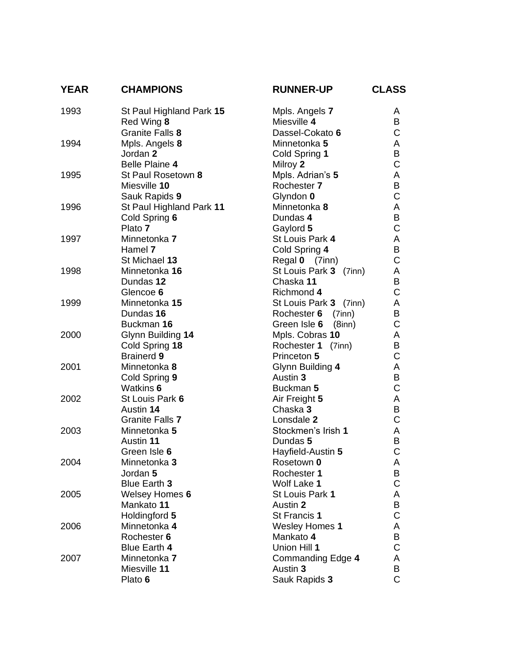| <b>YEAR</b> | <b>CHAMPIONS</b>         | <b>RUNNER-UP</b>             | <b>CLASS</b>   |
|-------------|--------------------------|------------------------------|----------------|
| 1993        | St Paul Highland Park 15 | Mpls. Angels 7               | A              |
|             | Red Wing 8               | Miesville 4                  | B              |
|             | Granite Falls 8          | Dassel-Cokato 6              | $\mathsf{C}$   |
| 1994        | Mpls. Angels 8           | Minnetonka 5                 | A              |
|             | Jordan 2                 | Cold Spring 1                | B              |
|             | <b>Belle Plaine 4</b>    | Milroy 2                     | C              |
| 1995        | St Paul Rosetown 8       | Mpls. Adrian's 5             | A              |
|             | Miesville 10             | Rochester 7                  | В              |
|             | Sauk Rapids 9            | Glyndon 0                    | $\mathsf C$    |
| 1996        | St Paul Highland Park 11 | Minnetonka 8                 | A<br>B         |
|             | Cold Spring 6<br>Plato 7 | Dundas 4                     | $\mathsf C$    |
| 1997        | Minnetonka 7             | Gaylord 5<br>St Louis Park 4 | A              |
|             | Hamel 7                  | Cold Spring 4                | B              |
|             | St Michael 13            | Regal 0 (7inn)               | C              |
| 1998        | Minnetonka 16            | St Louis Park 3 (7inn)       | A              |
|             | Dundas 12                | Chaska 11                    | B              |
|             | Glencoe 6                | Richmond 4                   | $\mathsf C$    |
| 1999        | Minnetonka 15            | St Louis Park 3 (7inn)       | A              |
|             | Dundas 16                | Rochester 6<br>$(7$ inn $)$  | B              |
|             | Buckman 16               | $(8$ inn $)$<br>Green Isle 6 | C              |
| 2000        | Glynn Building 14        | Mpls. Cobras 10              | A              |
|             | Cold Spring 18           | Rochester 1 (7inn)           | B              |
|             | <b>Brainerd 9</b>        | Princeton 5                  | $\mathsf C$    |
| 2001        | Minnetonka 8             | Glynn Building 4             | A              |
|             | Cold Spring 9            | Austin 3                     | B              |
|             | Watkins 6                | Buckman 5                    | $\mathsf C$    |
| 2002        | St Louis Park 6          | Air Freight 5                | A              |
|             | Austin 14                | Chaska 3                     | B              |
|             | Granite Falls 7          | Lonsdale 2                   | C              |
| 2003        | Minnetonka 5             | Stockmen's Irish 1           | A              |
|             | Austin 11                | Dundas 5                     | B              |
|             | Green Isle 6             | Hayfield-Austin 5            | C              |
| 2004        | Minnetonka 3             | Rosetown 0                   | A              |
|             | Jordan 5<br>Blue Earth 3 | Rochester 1<br>Wolf Lake 1   | B<br>C         |
| 2005        | <b>Welsey Homes 6</b>    | St Louis Park 1              | A              |
|             | Mankato 11               | Austin 2                     | В              |
|             | Holdingford 5            | St Francis 1                 | C              |
| 2006        | Minnetonka 4             | <b>Wesley Homes 1</b>        | A              |
|             | Rochester 6              | Mankato 4                    | В              |
|             | Blue Earth 4             | Union Hill 1                 | C              |
| 2007        | Minnetonka 7             | Commanding Edge 4            | A              |
|             | Miesville 11             | Austin 3                     | В              |
|             | Plato 6                  | Sauk Rapids 3                | $\overline{C}$ |